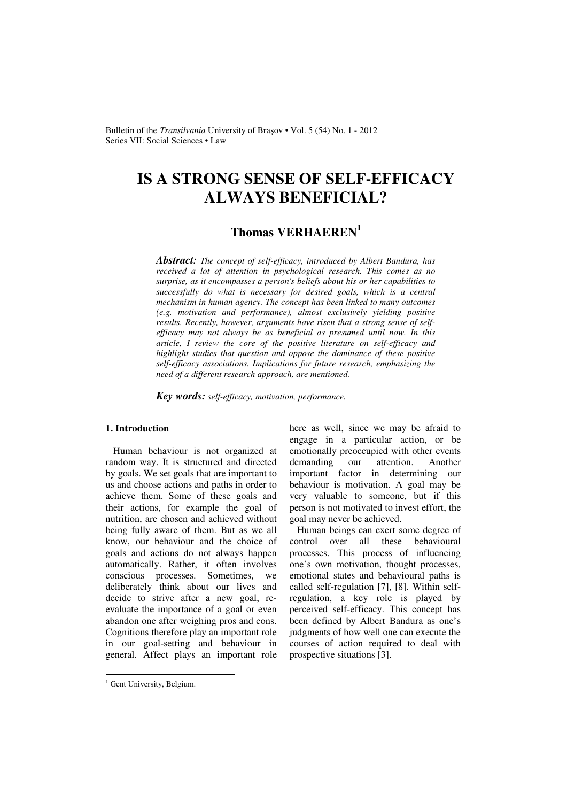Bulletin of the *Transilvania* University of Brașov • Vol. 5 (54) No. 1 - 2012 Series VII: Social Sciences • Law

# **IS A STRONG SENSE OF SELF-EFFICACY ALWAYS BENEFICIAL?**

# **Thomas VERHAEREN<sup>1</sup>**

*Abstract: The concept of self-efficacy, introduced by Albert Bandura, has received a lot of attention in psychological research. This comes as no surprise, as it encompasses a person's beliefs about his or her capabilities to successfully do what is necessary for desired goals, which is a central mechanism in human agency. The concept has been linked to many outcomes (e.g. motivation and performance), almost exclusively yielding positive results. Recently, however, arguments have risen that a strong sense of selfefficacy may not always be as beneficial as presumed until now. In this article, I review the core of the positive literature on self-efficacy and highlight studies that question and oppose the dominance of these positive self-efficacy associations. Implications for future research, emphasizing the need of a different research approach, are mentioned.* 

*Key words: self-efficacy, motivation, performance.*

### **1. Introduction**

Human behaviour is not organized at random way. It is structured and directed by goals. We set goals that are important to us and choose actions and paths in order to achieve them. Some of these goals and their actions, for example the goal of nutrition, are chosen and achieved without being fully aware of them. But as we all know, our behaviour and the choice of goals and actions do not always happen automatically. Rather, it often involves conscious processes. Sometimes, we deliberately think about our lives and decide to strive after a new goal, reevaluate the importance of a goal or even abandon one after weighing pros and cons. Cognitions therefore play an important role in our goal-setting and behaviour in general. Affect plays an important role here as well, since we may be afraid to engage in a particular action, or be emotionally preoccupied with other events demanding our attention. Another important factor in determining our behaviour is motivation. A goal may be very valuable to someone, but if this person is not motivated to invest effort, the goal may never be achieved.

Human beings can exert some degree of control over all these behavioural processes. This process of influencing one's own motivation, thought processes, emotional states and behavioural paths is called self-regulation [7], [8]. Within selfregulation, a key role is played by perceived self-efficacy. This concept has been defined by Albert Bandura as one's judgments of how well one can execute the courses of action required to deal with prospective situations [3].

<sup>&</sup>lt;sup>1</sup> Gent University, Belgium.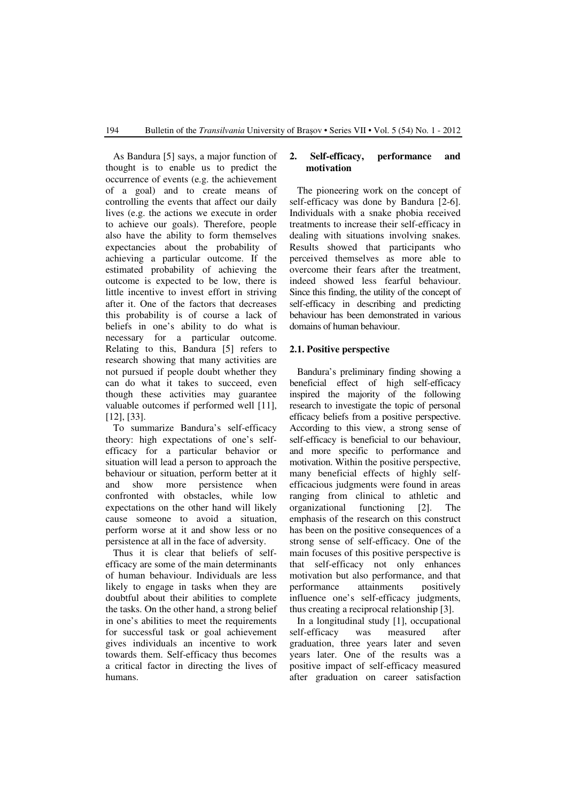As Bandura [5] says, a major function of thought is to enable us to predict the occurrence of events (e.g. the achievement of a goal) and to create means of controlling the events that affect our daily lives (e.g. the actions we execute in order to achieve our goals). Therefore, people also have the ability to form themselves expectancies about the probability of achieving a particular outcome. If the estimated probability of achieving the outcome is expected to be low, there is little incentive to invest effort in striving after it. One of the factors that decreases this probability is of course a lack of beliefs in one's ability to do what is necessary for a particular outcome. Relating to this, Bandura [5] refers to research showing that many activities are not pursued if people doubt whether they can do what it takes to succeed, even though these activities may guarantee valuable outcomes if performed well [11], [12], [33].

To summarize Bandura's self-efficacy theory: high expectations of one's selfefficacy for a particular behavior or situation will lead a person to approach the behaviour or situation, perform better at it and show more persistence when confronted with obstacles, while low expectations on the other hand will likely cause someone to avoid a situation, perform worse at it and show less or no persistence at all in the face of adversity.

Thus it is clear that beliefs of selfefficacy are some of the main determinants of human behaviour. Individuals are less likely to engage in tasks when they are doubtful about their abilities to complete the tasks. On the other hand, a strong belief in one's abilities to meet the requirements for successful task or goal achievement gives individuals an incentive to work towards them. Self-efficacy thus becomes a critical factor in directing the lives of humans.

#### **2. Self-efficacy, performance and motivation**

The pioneering work on the concept of self-efficacy was done by Bandura [2-6]. Individuals with a snake phobia received treatments to increase their self-efficacy in dealing with situations involving snakes. Results showed that participants who perceived themselves as more able to overcome their fears after the treatment, indeed showed less fearful behaviour. Since this finding, the utility of the concept of self-efficacy in describing and predicting behaviour has been demonstrated in various domains of human behaviour.

#### **2.1. Positive perspective**

Bandura's preliminary finding showing a beneficial effect of high self-efficacy inspired the majority of the following research to investigate the topic of personal efficacy beliefs from a positive perspective. According to this view, a strong sense of self-efficacy is beneficial to our behaviour, and more specific to performance and motivation. Within the positive perspective, many beneficial effects of highly selfefficacious judgments were found in areas ranging from clinical to athletic and organizational functioning [2]. The emphasis of the research on this construct has been on the positive consequences of a strong sense of self-efficacy. One of the main focuses of this positive perspective is that self-efficacy not only enhances motivation but also performance, and that performance attainments positively influence one's self-efficacy judgments, thus creating a reciprocal relationship [3].

In a longitudinal study [1], occupational self-efficacy was measured after graduation, three years later and seven years later. One of the results was a positive impact of self-efficacy measured after graduation on career satisfaction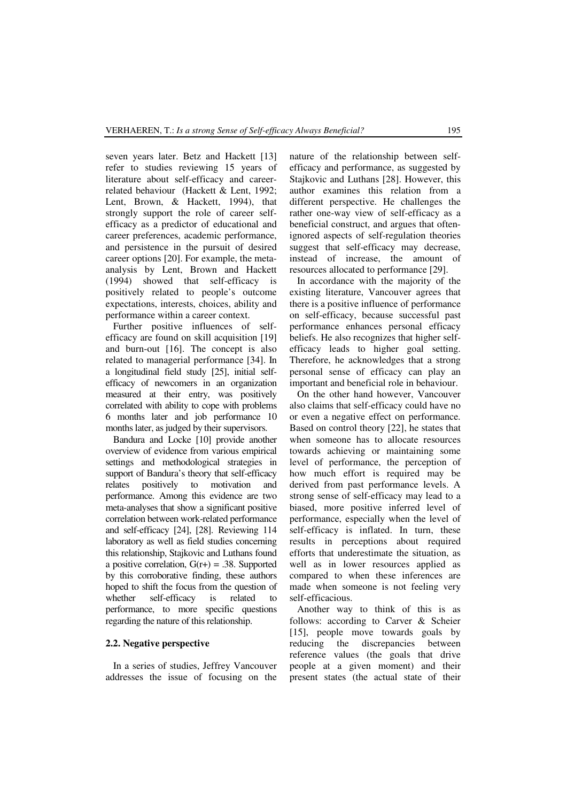seven years later. Betz and Hackett [13] refer to studies reviewing 15 years of literature about self-efficacy and careerrelated behaviour (Hackett & Lent, 1992; Lent, Brown, & Hackett, 1994), that strongly support the role of career selfefficacy as a predictor of educational and career preferences, academic performance, and persistence in the pursuit of desired career options [20]. For example, the metaanalysis by Lent, Brown and Hackett (1994) showed that self-efficacy is positively related to people's outcome expectations, interests, choices, ability and performance within a career context.

Further positive influences of selfefficacy are found on skill acquisition [19] and burn-out [16]. The concept is also related to managerial performance [34]. In a longitudinal field study [25], initial selfefficacy of newcomers in an organization measured at their entry, was positively correlated with ability to cope with problems 6 months later and job performance 10 months later, as judged by their supervisors.

Bandura and Locke [10] provide another overview of evidence from various empirical settings and methodological strategies in support of Bandura's theory that self-efficacy relates positively to motivation and performance. Among this evidence are two meta-analyses that show a significant positive correlation between work-related performance and self-efficacy [24], [28]. Reviewing 114 laboratory as well as field studies concerning this relationship, Stajkovic and Luthans found a positive correlation,  $G(r+) = .38$ . Supported by this corroborative finding, these authors hoped to shift the focus from the question of whether self-efficacy is related to performance, to more specific questions regarding the nature of this relationship.

#### **2.2. Negative perspective**

In a series of studies, Jeffrey Vancouver addresses the issue of focusing on the nature of the relationship between selfefficacy and performance, as suggested by Stajkovic and Luthans [28]. However, this author examines this relation from a different perspective. He challenges the rather one-way view of self-efficacy as a beneficial construct, and argues that oftenignored aspects of self-regulation theories suggest that self-efficacy may decrease, instead of increase, the amount of resources allocated to performance [29].

In accordance with the majority of the existing literature, Vancouver agrees that there is a positive influence of performance on self-efficacy, because successful past performance enhances personal efficacy beliefs. He also recognizes that higher selfefficacy leads to higher goal setting. Therefore, he acknowledges that a strong personal sense of efficacy can play an important and beneficial role in behaviour.

On the other hand however, Vancouver also claims that self-efficacy could have no or even a negative effect on performance. Based on control theory [22], he states that when someone has to allocate resources towards achieving or maintaining some level of performance, the perception of how much effort is required may be derived from past performance levels. A strong sense of self-efficacy may lead to a biased, more positive inferred level of performance, especially when the level of self-efficacy is inflated. In turn, these results in perceptions about required efforts that underestimate the situation, as well as in lower resources applied as compared to when these inferences are made when someone is not feeling very self-efficacious.

Another way to think of this is as follows: according to Carver & Scheier [15], people move towards goals by reducing the discrepancies between reference values (the goals that drive people at a given moment) and their present states (the actual state of their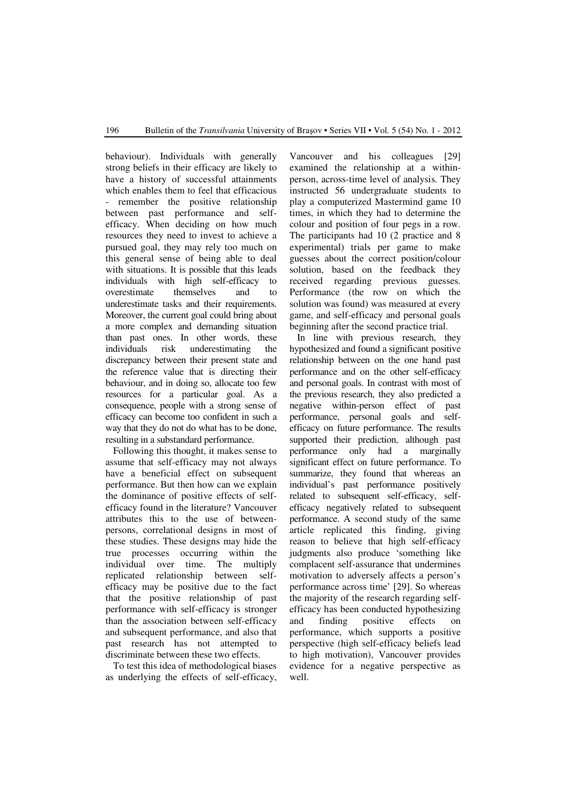behaviour). Individuals with generally strong beliefs in their efficacy are likely to have a history of successful attainments which enables them to feel that efficacious remember the positive relationship between past performance and selfefficacy. When deciding on how much resources they need to invest to achieve a pursued goal, they may rely too much on this general sense of being able to deal with situations. It is possible that this leads individuals with high self-efficacy to overestimate themselves and to underestimate tasks and their requirements. Moreover, the current goal could bring about a more complex and demanding situation than past ones. In other words, these individuals risk underestimating the discrepancy between their present state and the reference value that is directing their behaviour, and in doing so, allocate too few resources for a particular goal. As a consequence, people with a strong sense of efficacy can become too confident in such a way that they do not do what has to be done, resulting in a substandard performance.

Following this thought, it makes sense to assume that self-efficacy may not always have a beneficial effect on subsequent performance. But then how can we explain the dominance of positive effects of selfefficacy found in the literature? Vancouver attributes this to the use of betweenpersons, correlational designs in most of these studies. These designs may hide the true processes occurring within the individual over time. The multiply replicated relationship between selfefficacy may be positive due to the fact that the positive relationship of past performance with self-efficacy is stronger than the association between self-efficacy and subsequent performance, and also that past research has not attempted to discriminate between these two effects.

To test this idea of methodological biases as underlying the effects of self-efficacy, Vancouver and his colleagues [29] examined the relationship at a withinperson, across-time level of analysis. They instructed 56 undergraduate students to play a computerized Mastermind game 10 times, in which they had to determine the colour and position of four pegs in a row. The participants had 10 (2 practice and 8 experimental) trials per game to make guesses about the correct position/colour solution, based on the feedback they received regarding previous guesses. Performance (the row on which the solution was found) was measured at every game, and self-efficacy and personal goals beginning after the second practice trial.

In line with previous research, they hypothesized and found a significant positive relationship between on the one hand past performance and on the other self-efficacy and personal goals. In contrast with most of the previous research, they also predicted a negative within-person effect of past performance, personal goals and selfefficacy on future performance. The results supported their prediction, although past performance only had a marginally significant effect on future performance. To summarize, they found that whereas an individual's past performance positively related to subsequent self-efficacy, selfefficacy negatively related to subsequent performance. A second study of the same article replicated this finding, giving reason to believe that high self-efficacy judgments also produce 'something like complacent self-assurance that undermines motivation to adversely affects a person's performance across time' [29]. So whereas the majority of the research regarding selfefficacy has been conducted hypothesizing and finding positive effects on performance, which supports a positive perspective (high self-efficacy beliefs lead to high motivation), Vancouver provides evidence for a negative perspective as well.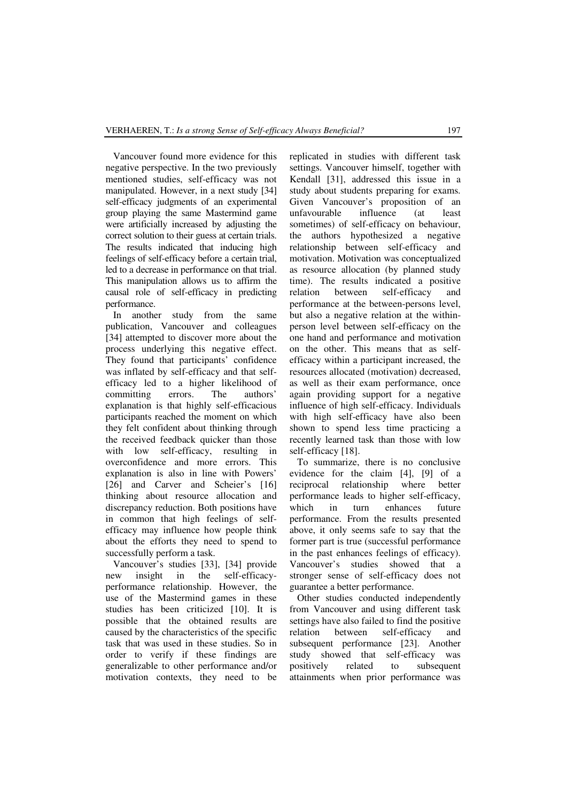Vancouver found more evidence for this negative perspective. In the two previously mentioned studies, self-efficacy was not manipulated. However, in a next study [34] self-efficacy judgments of an experimental group playing the same Mastermind game were artificially increased by adjusting the correct solution to their guess at certain trials. The results indicated that inducing high feelings of self-efficacy before a certain trial, led to a decrease in performance on that trial. This manipulation allows us to affirm the causal role of self-efficacy in predicting performance.

In another study from the same publication, Vancouver and colleagues [34] attempted to discover more about the process underlying this negative effect. They found that participants' confidence was inflated by self-efficacy and that selfefficacy led to a higher likelihood of committing errors. The authors' committing errors. The authors' explanation is that highly self-efficacious participants reached the moment on which they felt confident about thinking through the received feedback quicker than those with low self-efficacy, resulting in overconfidence and more errors. This explanation is also in line with Powers' [26] and Carver and Scheier's [16] thinking about resource allocation and discrepancy reduction. Both positions have in common that high feelings of selfefficacy may influence how people think about the efforts they need to spend to successfully perform a task.

Vancouver's studies [33], [34] provide new insight in the self-efficacyperformance relationship. However, the use of the Mastermind games in these studies has been criticized [10]. It is possible that the obtained results are caused by the characteristics of the specific task that was used in these studies. So in order to verify if these findings are generalizable to other performance and/or motivation contexts, they need to be

replicated in studies with different task settings. Vancouver himself, together with Kendall [31], addressed this issue in a study about students preparing for exams. Given Vancouver's proposition of an unfavourable influence (at least sometimes) of self-efficacy on behaviour, the authors hypothesized a negative relationship between self-efficacy and motivation. Motivation was conceptualized as resource allocation (by planned study time). The results indicated a positive relation between self-efficacy and performance at the between-persons level, but also a negative relation at the withinperson level between self-efficacy on the one hand and performance and motivation on the other. This means that as selfefficacy within a participant increased, the resources allocated (motivation) decreased, as well as their exam performance, once again providing support for a negative influence of high self-efficacy. Individuals with high self-efficacy have also been shown to spend less time practicing a recently learned task than those with low self-efficacy [18].

To summarize, there is no conclusive evidence for the claim [4], [9] of a reciprocal relationship where better performance leads to higher self-efficacy, which in turn enhances future performance. From the results presented above, it only seems safe to say that the former part is true (successful performance in the past enhances feelings of efficacy). Vancouver's studies showed that a stronger sense of self-efficacy does not guarantee a better performance.

Other studies conducted independently from Vancouver and using different task settings have also failed to find the positive relation between self-efficacy and subsequent performance [23]. Another study showed that self-efficacy was positively related to subsequent attainments when prior performance was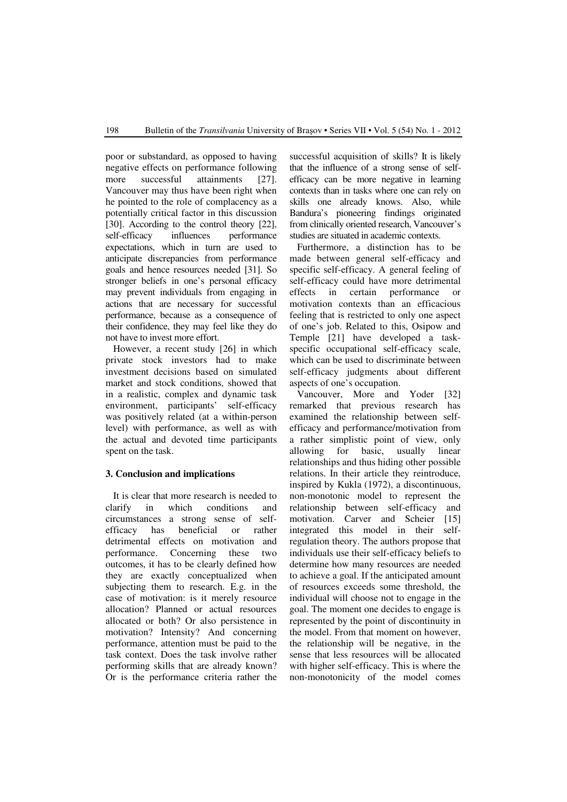poor or substandard, as opposed to having negative effects on performance following more successful attainments [27]. Vancouver may thus have been right when he pointed to the role of complacency as a potentially critical factor in this discussion [30]. According to the control theory [22], self-efficacy influences performance expectations, which in turn are used to anticipate discrepancies from performance goals and hence resources needed [31]. So stronger beliefs in one's personal efficacy may prevent individuals from engaging in actions that are necessary for successful performance, because as a consequence of their confidence, they may feel like they do not have to invest more effort.

However, a recent study [26] in which private stock investors had to make investment decisions based on simulated market and stock conditions, showed that in a realistic, complex and dynamic task environment, participants' self-efficacy was positively related (at a within-person level) with performance, as well as with the actual and devoted time participants spent on the task.

## **3. Conclusion and implications**

It is clear that more research is needed to clarify in which conditions and circumstances a strong sense of selfefficacy has beneficial or rather detrimental effects on motivation and performance. Concerning these two outcomes, it has to be clearly defined how they are exactly conceptualized when subjecting them to research. E.g. in the case of motivation: is it merely resource allocation? Planned or actual resources allocated or both? Or also persistence in motivation? Intensity? And concerning performance, attention must be paid to the task context. Does the task involve rather performing skills that are already known? Or is the performance criteria rather the successful acquisition of skills? It is likely that the influence of a strong sense of selfefficacy can be more negative in learning contexts than in tasks where one can rely on skills one already knows. Also, while Bandura's pioneering findings originated from clinically oriented research, Vancouver's studies are situated in academic contexts.

Furthermore, a distinction has to be made between general self-efficacy and specific self-efficacy. A general feeling of self-efficacy could have more detrimental effects in certain performance or motivation contexts than an efficacious feeling that is restricted to only one aspect of one's job. Related to this, Osipow and Temple [21] have developed a taskspecific occupational self-efficacy scale, which can be used to discriminate between self-efficacy judgments about different aspects of one's occupation.

Vancouver, More and Yoder [32] remarked that previous research has examined the relationship between selfefficacy and performance/motivation from a rather simplistic point of view, only allowing for basic, usually linear relationships and thus hiding other possible relations. In their article they reintroduce, inspired by Kukla (1972), a discontinuous, non-monotonic model to represent the relationship between self-efficacy and motivation. Carver and Scheier [15] integrated this model in their selfregulation theory. The authors propose that individuals use their self-efficacy beliefs to determine how many resources are needed to achieve a goal. If the anticipated amount of resources exceeds some threshold, the individual will choose not to engage in the goal. The moment one decides to engage is represented by the point of discontinuity in the model. From that moment on however, the relationship will be negative, in the sense that less resources will be allocated with higher self-efficacy. This is where the non-monotonicity of the model comes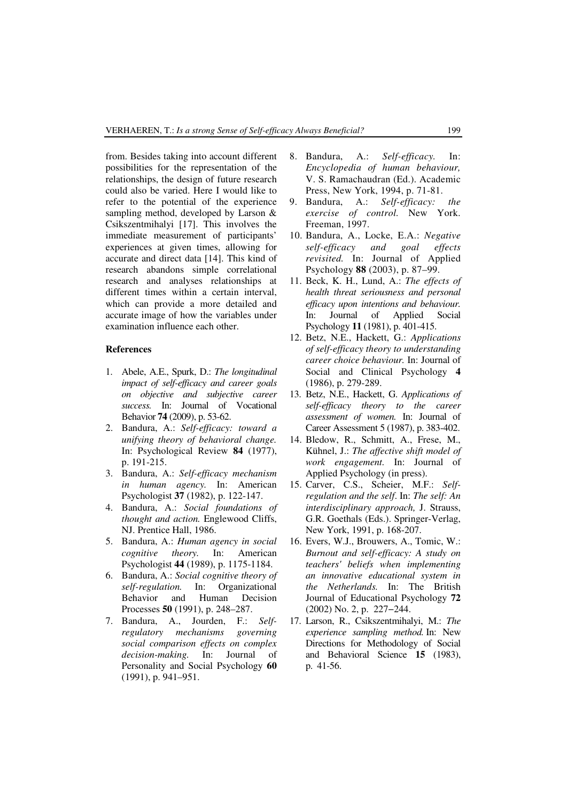from. Besides taking into account different possibilities for the representation of the relationships, the design of future research could also be varied. Here I would like to refer to the potential of the experience sampling method, developed by Larson & Csikszentmihalyi [17]. This involves the immediate measurement of participants' experiences at given times, allowing for accurate and direct data [14]. This kind of research abandons simple correlational research and analyses relationships at different times within a certain interval, which can provide a more detailed and accurate image of how the variables under examination influence each other.

#### **References**

- 1. Abele, A.E., Spurk, D.: *The longitudinal impact of self-efficacy and career goals on objective and subjective career success.* In: Journal of Vocational Behavior **74** (2009), p. 53-62.
- 2. Bandura, A.: *Self-efficacy: toward a unifying theory of behavioral change.* In: Psychological Review **84** (1977), p. 191-215.
- 3. Bandura, A.: *Self-efficacy mechanism in human agency.* In: American Psychologist **37** (1982), p. 122-147.
- 4. Bandura, A.: *Social foundations of thought and action.* Englewood Cliffs, NJ. Prentice Hall, 1986.
- 5. Bandura, A.: *Human agency in social cognitive theory.* In: American Psychologist **44** (1989), p. 1175-1184.
- 6. Bandura, A.: *Social cognitive theory of self-regulation.* In: Organizational Behavior and Human Decision Processes **50** (1991), p. 248–287.
- 7. Bandura, A., Jourden, F.: *Selfregulatory mechanisms governing social comparison effects on complex decision-making.* In: Journal of Personality and Social Psychology **60** (1991), p. 941–951.
- 8. Bandura, A.: *Self-efficacy.* In: *Encyclopedia of human behaviour,* V. S. Ramachaudran (Ed.). Academic Press, New York, 1994, p. 71-81.
- 9. Bandura, A.: *Self-efficacy: the exercise of control.* New York. Freeman, 1997.
- 10. Bandura, A., Locke, E.A.: *Negative self-efficacy and goal effects revisited.* In: Journal of Applied Psychology **88** (2003), p. 87–99.
- 11. Beck, K. H., Lund, A.: *The effects of health threat seriousness and personal efficacy upon intentions and behaviour.* In: Journal of Applied Social Psychology **11** (1981), p. 401-415.
- 12. Betz, N.E., Hackett, G.: *Applications of self-efficacy theory to understanding career choice behaviour.* In: Journal of Social and Clinical Psychology **4** (1986), p. 279-289.
- 13. Betz, N.E., Hackett, G. *Applications of self-efficacy theory to the career assessment of women.* In: Journal of Career Assessment 5 (1987), p. 383-402.
- 14. Bledow, R., Schmitt, A., Frese, M., Kühnel, J.: *The affective shift model of work engagement.* In: Journal of Applied Psychology (in press).
- 15. Carver, C.S., Scheier, M.F.: *Selfregulation and the self*. In: *The self: An interdisciplinary approach,* J. Strauss, G.R. Goethals (Eds.). Springer-Verlag, New York, 1991, p. 168-207.
- 16. Evers, W.J., Brouwers, A., Tomic, W.: *Burnout and self-efficacy: A study on teachers' beliefs when implementing an innovative educational system in the Netherlands.* In: The British Journal of Educational Psychology **72** (2002) No. 2, p. 227−244.
- 17. Larson, R., Csikszentmihalyi, M.: *The experience sampling method.* In: New Directions for Methodology of Social and Behavioral Science **15** (1983), p. 41-56.